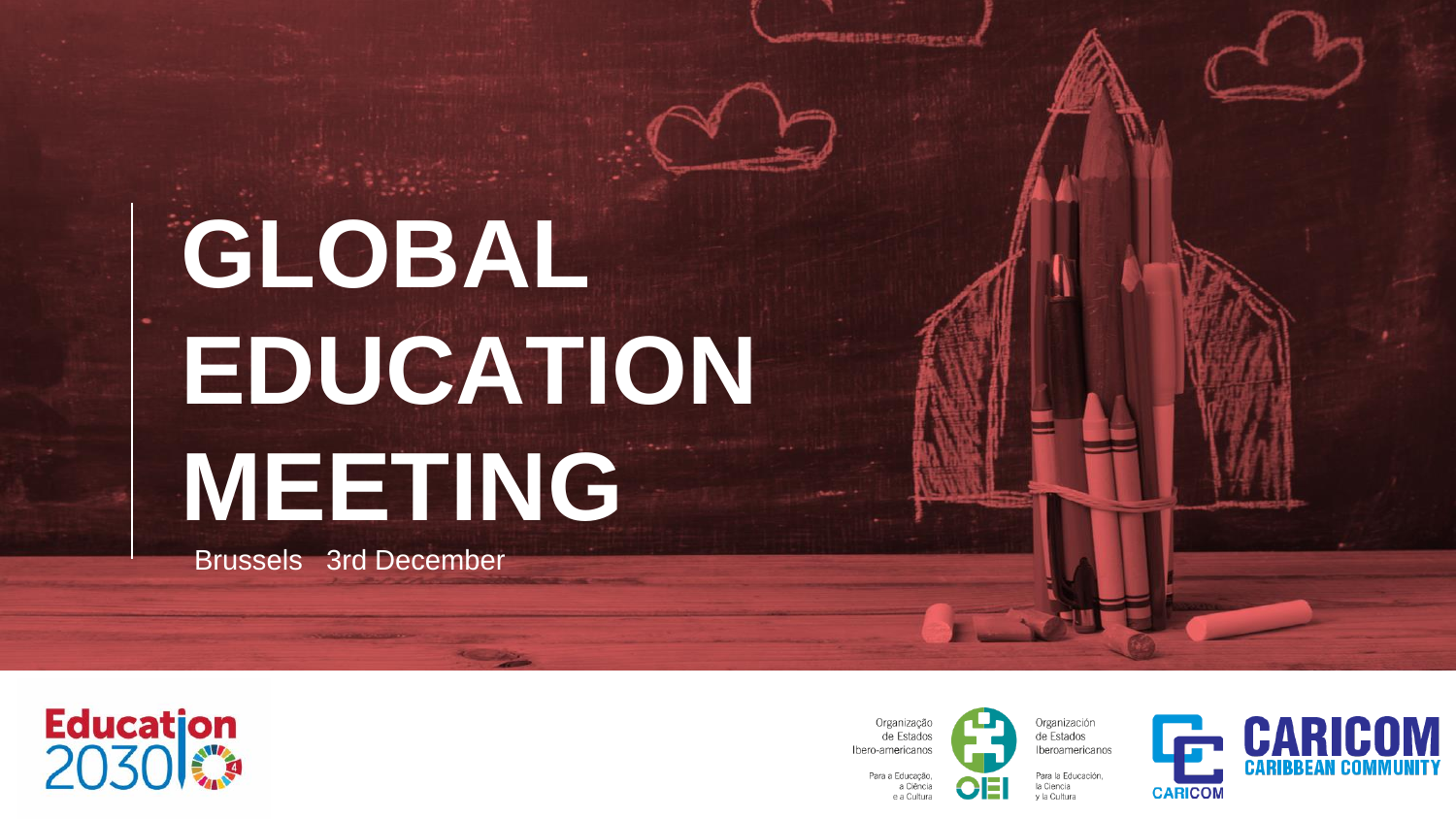**GLOBAL EDUCATION MEETING** 

Brussels 3rd December



Organizacã de Estados Ibero-americanos Para a Educação.

a Ciência

e a Cultura

■電話館は取り桂ののメディの



Organización de Estados Iberoamericanos

Para la Educación.

la Ciencia

v la Cultura

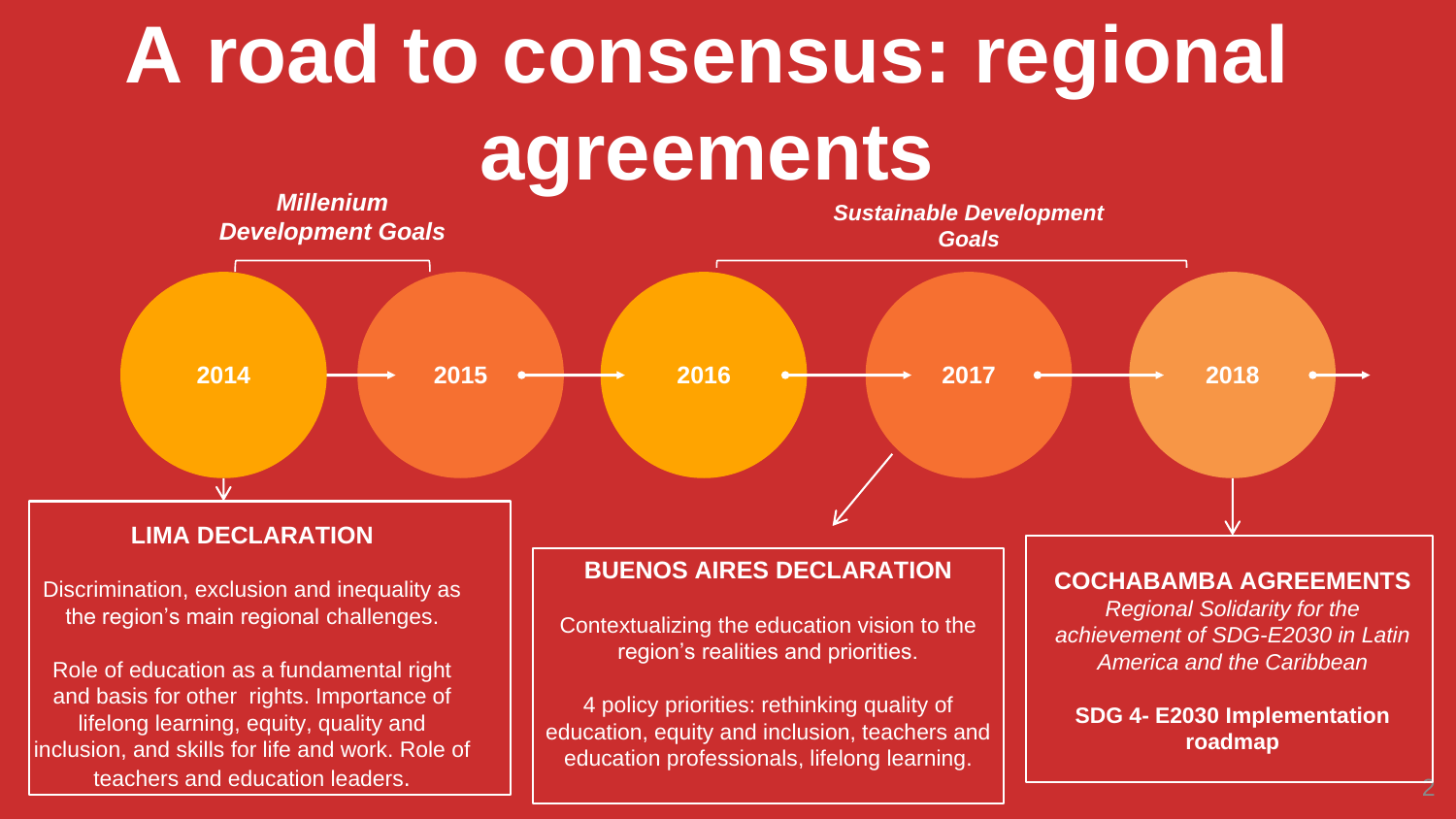# **A road to consensus: regional agreements**

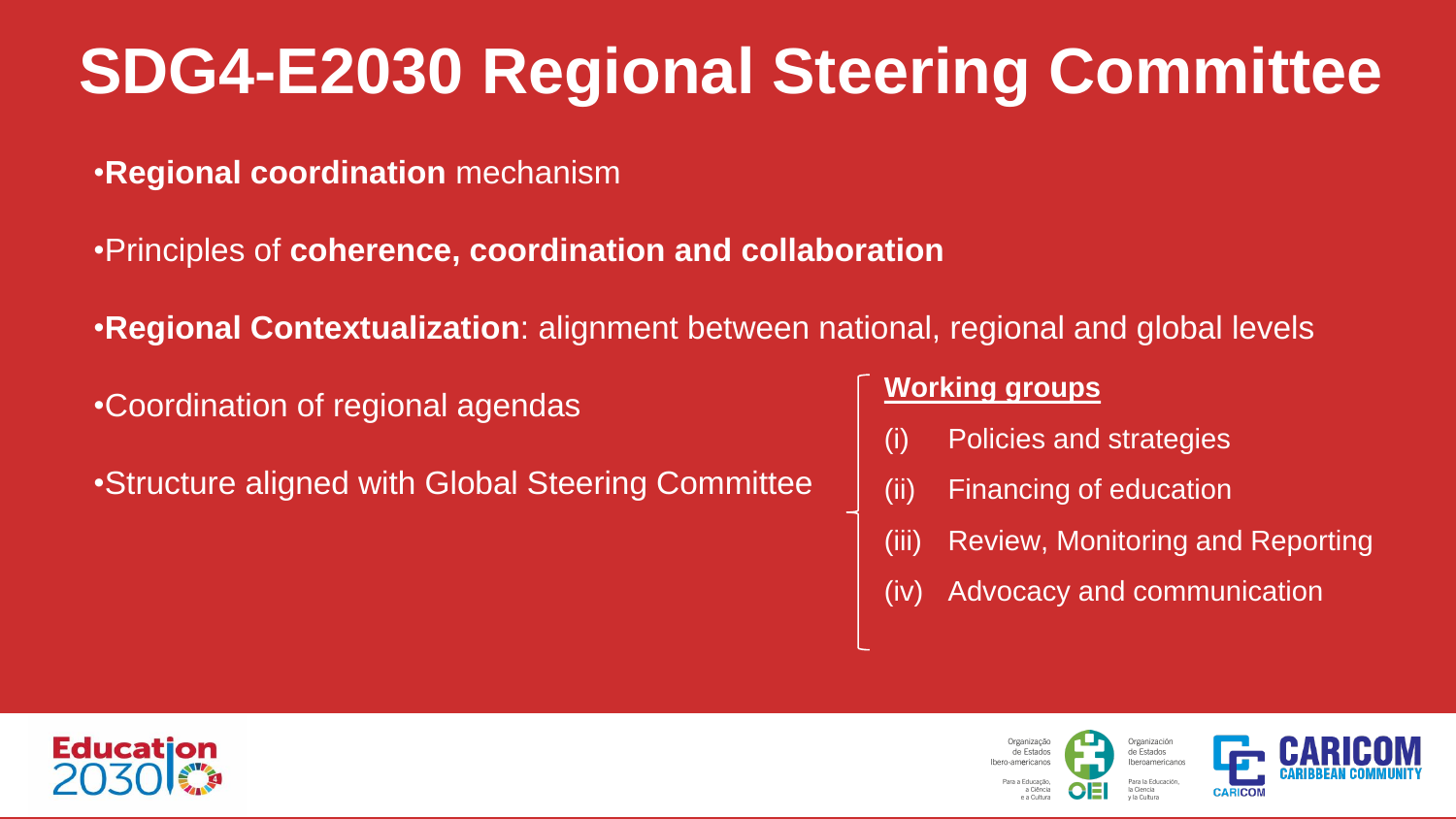## **SDG4-E2030 Regional Steering Committee**

- •**Regional coordination** mechanism
- •Principles of **coherence, coordination and collaboration**
- •**Regional Contextualization**: alignment between national, regional and global levels
- •Coordination of regional agendas
- •Structure aligned with Global Steering Committee

#### **Working groups**

- (i) Policies and strategies
- (ii) Financing of education

Organizaci

de Fetade

- (iii) Review, Monitoring and Reporting
- (iv) Advocacy and communication



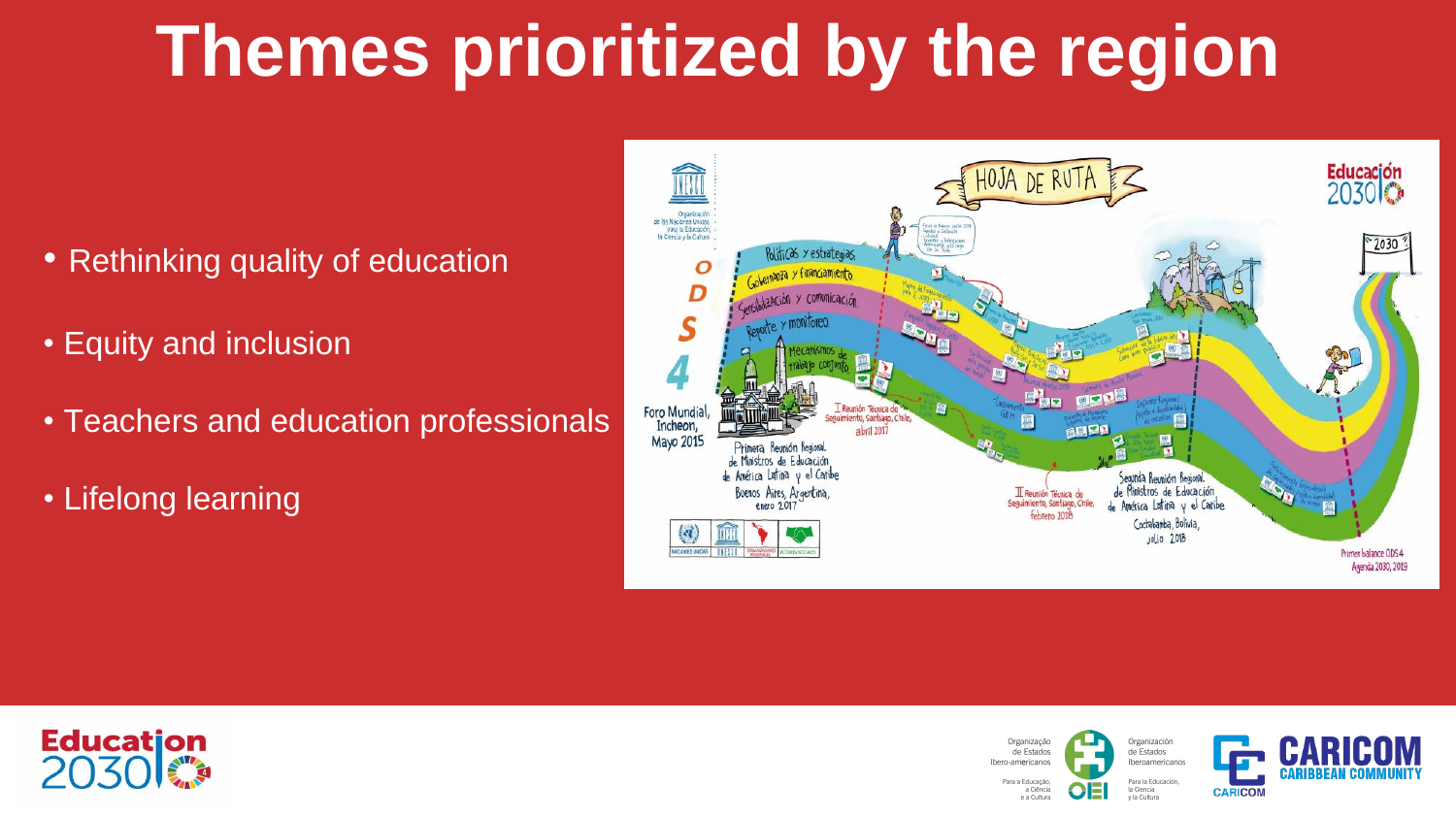## **Themes prioritized by the region**

- Rethinking quality of education
- Equity and inclusion
- Teachers and education professionals
- Lifelong learning



Organização

de Estados

Para a Educação a Ciência

e a Cultura

Iham-americano



Organización de Estados Iberoamericanos Para la Educación. la Ciencia v la Cultura

 $\ddot{a}$